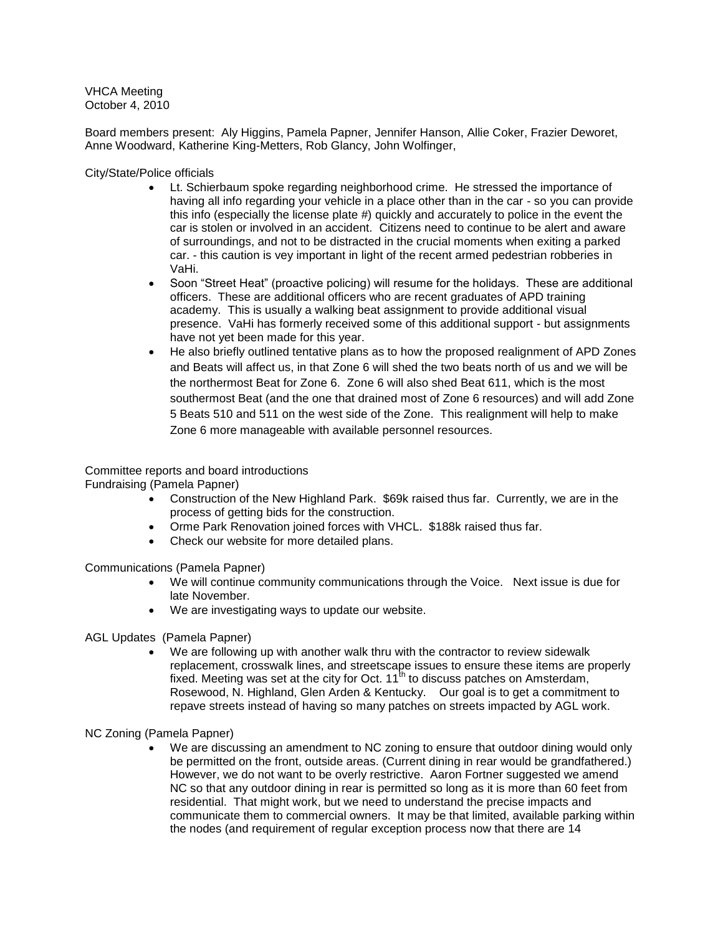VHCA Meeting October 4, 2010

Board members present: Aly Higgins, Pamela Papner, Jennifer Hanson, Allie Coker, Frazier Deworet, Anne Woodward, Katherine King-Metters, Rob Glancy, John Wolfinger,

City/State/Police officials

- Lt. Schierbaum spoke regarding neighborhood crime. He stressed the importance of having all info regarding your vehicle in a place other than in the car - so you can provide this info (especially the license plate #) quickly and accurately to police in the event the car is stolen or involved in an accident. Citizens need to continue to be alert and aware of surroundings, and not to be distracted in the crucial moments when exiting a parked car. - this caution is vey important in light of the recent armed pedestrian robberies in VaHi.
- Soon "Street Heat" (proactive policing) will resume for the holidays. These are additional officers. These are additional officers who are recent graduates of APD training academy. This is usually a walking beat assignment to provide additional visual presence. VaHi has formerly received some of this additional support - but assignments have not yet been made for this year.
- He also briefly outlined tentative plans as to how the proposed realignment of APD Zones and Beats will affect us, in that Zone 6 will shed the two beats north of us and we will be the northermost Beat for Zone 6. Zone 6 will also shed Beat 611, which is the most southermost Beat (and the one that drained most of Zone 6 resources) and will add Zone 5 Beats 510 and 511 on the west side of the Zone. This realignment will help to make Zone 6 more manageable with available personnel resources.

# Committee reports and board introductions

Fundraising (Pamela Papner)

- Construction of the New Highland Park. \$69k raised thus far. Currently, we are in the process of getting bids for the construction.
- Orme Park Renovation joined forces with VHCL. \$188k raised thus far.
- Check our website for more detailed plans.

Communications (Pamela Papner)

- We will continue community communications through the Voice. Next issue is due for late November.
- We are investigating ways to update our website.

AGL Updates (Pamela Papner)

 We are following up with another walk thru with the contractor to review sidewalk replacement, crosswalk lines, and streetscape issues to ensure these items are properly fixed. Meeting was set at the city for Oct.  $11<sup>th</sup>$  to discuss patches on Amsterdam, Rosewood, N. Highland, Glen Arden & Kentucky. Our goal is to get a commitment to repave streets instead of having so many patches on streets impacted by AGL work.

NC Zoning (Pamela Papner)

 We are discussing an amendment to NC zoning to ensure that outdoor dining would only be permitted on the front, outside areas. (Current dining in rear would be grandfathered.) However, we do not want to be overly restrictive. Aaron Fortner suggested we amend NC so that any outdoor dining in rear is permitted so long as it is more than 60 feet from residential. That might work, but we need to understand the precise impacts and communicate them to commercial owners. It may be that limited, available parking within the nodes (and requirement of regular exception process now that there are 14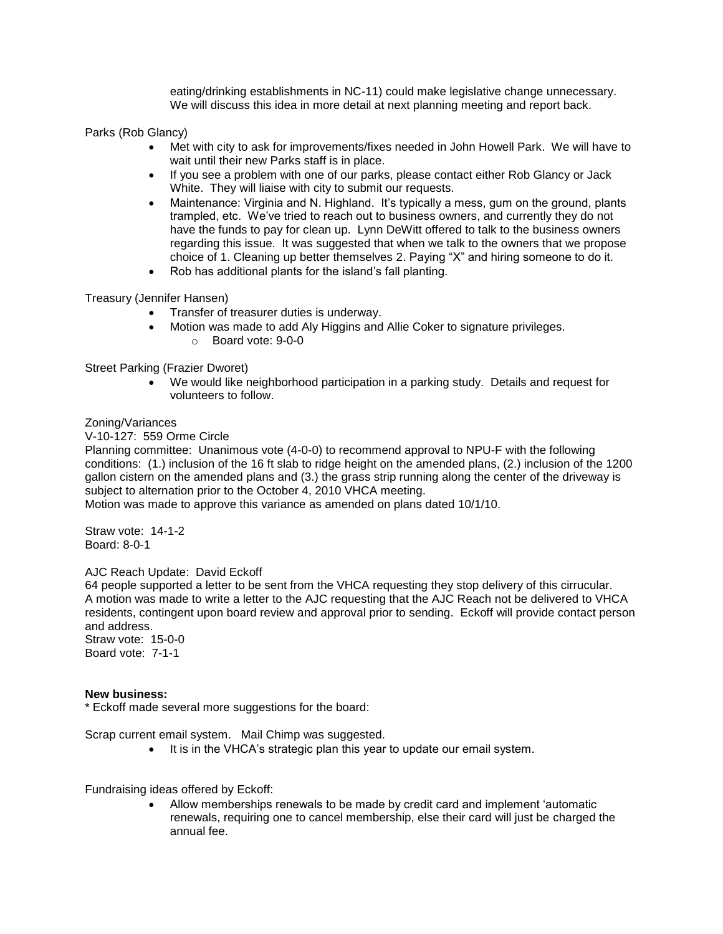eating/drinking establishments in NC-11) could make legislative change unnecessary. We will discuss this idea in more detail at next planning meeting and report back.

Parks (Rob Glancy)

- Met with city to ask for improvements/fixes needed in John Howell Park. We will have to wait until their new Parks staff is in place.
- If you see a problem with one of our parks, please contact either Rob Glancy or Jack White. They will liaise with city to submit our requests.
- Maintenance: Virginia and N. Highland. It's typically a mess, gum on the ground, plants trampled, etc. We"ve tried to reach out to business owners, and currently they do not have the funds to pay for clean up. Lynn DeWitt offered to talk to the business owners regarding this issue. It was suggested that when we talk to the owners that we propose choice of 1. Cleaning up better themselves 2. Paying "X" and hiring someone to do it.
- Rob has additional plants for the island"s fall planting.

Treasury (Jennifer Hansen)

- Transfer of treasurer duties is underway.
- Motion was made to add Aly Higgins and Allie Coker to signature privileges.
	- o Board vote: 9-0-0

Street Parking (Frazier Dworet)

 We would like neighborhood participation in a parking study. Details and request for volunteers to follow.

### Zoning/Variances

V-10-127: 559 Orme Circle

Planning committee: Unanimous vote (4-0-0) to recommend approval to NPU-F with the following conditions: (1.) inclusion of the 16 ft slab to ridge height on the amended plans, (2.) inclusion of the 1200 gallon cistern on the amended plans and (3.) the grass strip running along the center of the driveway is subject to alternation prior to the October 4, 2010 VHCA meeting.

Motion was made to approve this variance as amended on plans dated 10/1/10.

Straw vote: 14-1-2 Board: 8-0-1

### AJC Reach Update: David Eckoff

64 people supported a letter to be sent from the VHCA requesting they stop delivery of this cirrucular. A motion was made to write a letter to the AJC requesting that the AJC Reach not be delivered to VHCA residents, contingent upon board review and approval prior to sending. Eckoff will provide contact person and address.

Straw vote: 15-0-0 Board vote: 7-1-1

### **New business:**

\* Eckoff made several more suggestions for the board:

Scrap current email system. Mail Chimp was suggested.

• It is in the VHCA's strategic plan this year to update our email system.

Fundraising ideas offered by Eckoff:

 Allow memberships renewals to be made by credit card and implement "automatic renewals, requiring one to cancel membership, else their card will just be charged the annual fee.